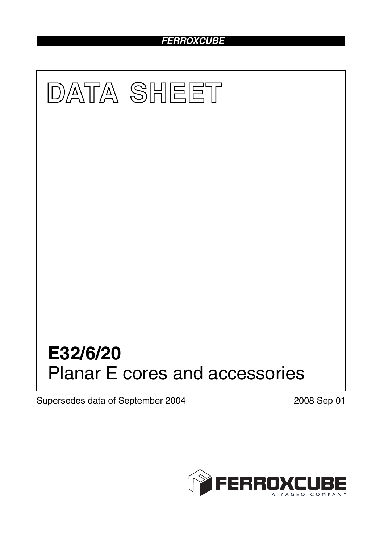# *FERROXCUBE*



Supersedes data of September 2004 2008 Sep 01

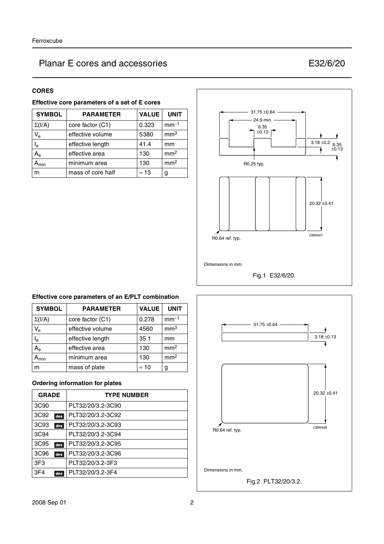| ×<br>۰, |  |
|---------|--|
|---------|--|

| Effective core parameters of a set of E cores |  |  |  |
|-----------------------------------------------|--|--|--|
|-----------------------------------------------|--|--|--|

| <b>SYMBOL</b>             | <b>PARAMETER</b>  | <b>VALUE</b> | <b>UNIT</b>     |
|---------------------------|-------------------|--------------|-----------------|
| $\Sigma(I/A)$             | core factor (C1)  | 0.323        | $mm-1$          |
| $V_{e}$                   | effective volume  | 5380         | mm <sup>3</sup> |
| l <sub>e</sub>            | effective length  | 41.4         | mm              |
| $\mathsf{A}_{\mathsf{e}}$ | effective area    | 130          | mm <sup>2</sup> |
| min                       | minimum area      | 130          | mm <sup>2</sup> |
| m                         | mass of core half | $\approx$ 13 | g               |



## **Effective core parameters of an E/PLT combination**

| <b>SYMBOL</b>             | <b>PARAMETER</b> | <b>VALUE</b> | <b>UNIT</b>     |
|---------------------------|------------------|--------------|-----------------|
| $\Sigma(I/A)$             | core factor (C1) | 0.278        | $mm-1$          |
| $V_{e}$                   | effective volume | 4560         | mm <sup>3</sup> |
| $\mathsf{I}_\mathsf{e}$   | effective length | 35.1         | mm              |
| $A_{\rm e}$               | effective area   | 130          | mm <sup>2</sup> |
| $\mathbf{A}_{\text{min}}$ | minimum area     | 130          | mm <sup>2</sup> |
| m                         | mass of plate    | $\approx$ 10 | g               |

### **Ordering information for plates**

| <b>GRADE</b>     |     | <b>TYPE NUMBER</b> |
|------------------|-----|--------------------|
| 3C <sub>90</sub> |     | PLT32/20/3.2-3C90  |
| 3C92             | des | PLT32/20/3.2-3C92  |
| 3C93             | des | PLT32/20/3.2-3C93  |
| 3C94             |     | PLT32/20/3.2-3C94  |
| 3C95             | des | PLT32/20/3.2-3C95  |
| 3C96             | des | PLT32/20/3.2-3C96  |
| 3F <sub>3</sub>  |     | PLT32/20/3.2-3F3   |
| 3F4              | des | PLT32/20/3.2-3F4   |

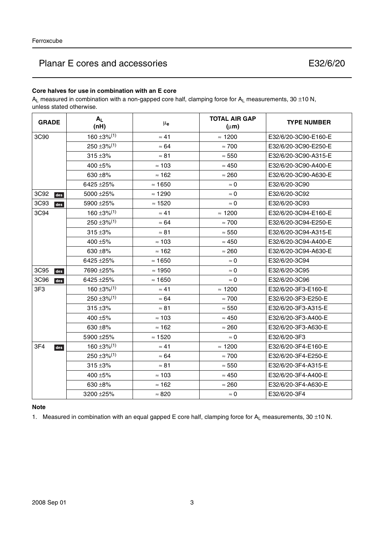## **Core halves for use in combination with an E core**

 $A_L$  measured in combination with a non-gapped core half, clamping force for  $A_L$  measurements, 30 ±10 N, unless stated otherwise.

| <b>GRADE</b>    | $A_L$<br>(nH)                | $\mu_{\mathbf{e}}$ | <b>TOTAL AIR GAP</b><br>$(\mu m)$ | <b>TYPE NUMBER</b>   |
|-----------------|------------------------------|--------------------|-----------------------------------|----------------------|
| 3C90            | $160 \pm 3\%$ <sup>(1)</sup> | $\approx 41$       | $\approx$ 1200                    | E32/6/20-3C90-E160-E |
|                 | $250 \pm 3\%/1$              | $\approx 64$       | $\approx 700$                     | E32/6/20-3C90-E250-E |
|                 | $315 + 3%$                   | $\approx 81$       | $\approx 550$                     | E32/6/20-3C90-A315-E |
|                 | 400 ±5%                      | $\approx 103$      | $\approx 450$                     | E32/6/20-3C90-A400-E |
|                 | 630 $\pm$ 8%                 | $\approx$ 162      | $\approx 260$                     | E32/6/20-3C90-A630-E |
|                 | 6425 ± 25%                   | $\approx$ 1650     | $\approx 0$                       | E32/6/20-3C90        |
| 3C92<br>des     | 5000 ± 25%                   | $\approx$ 1290     | $\approx 0$                       | E32/6/20-3C92        |
| 3C93<br>des     | 5900 ± 25%                   | $\approx$ 1520     | $\approx 0$                       | E32/6/20-3C93        |
| 3C94            | $160 \pm 3\%$ <sup>(1)</sup> | $\approx 41$       | $\approx$ 1200                    | E32/6/20-3C94-E160-E |
|                 | $250 \pm 3\%/1$              | $\approx 64$       | $\approx 700$                     | E32/6/20-3C94-E250-E |
|                 | $315 + 3%$                   | $\approx 81$       | $\approx 550$                     | E32/6/20-3C94-A315-E |
|                 | 400 $\pm$ 5%                 | $\approx 103$      | $\approx 450$                     | E32/6/20-3C94-A400-E |
|                 | 630 $\pm$ 8%                 | $\approx$ 162      | $\approx 260$                     | E32/6/20-3C94-A630-E |
|                 | 6425 ± 25%                   | $\approx$ 1650     | $\approx 0$                       | E32/6/20-3C94        |
| 3C95<br>des     | 7690 ± 25%                   | $\approx$ 1950     | $\approx$ 0                       | E32/6/20-3C95        |
| 3C96<br>des     | 6425 ± 25%                   | $\approx 1650$     | $\approx$ 0                       | E32/6/20-3C96        |
| 3F <sub>3</sub> | $160 \pm 3\%$ <sup>(1)</sup> | $\approx 41$       | $\approx$ 1200                    | E32/6/20-3F3-E160-E  |
|                 | $250 \pm 3\%$ <sup>(1)</sup> | $\approx 64$       | $\approx 700$                     | E32/6/20-3F3-E250-E  |
|                 | $315 + 3%$                   | $\approx 81$       | $\approx 550$                     | E32/6/20-3F3-A315-E  |
|                 | 400 $\pm$ 5%                 | $\approx 103$      | $\approx 450$                     | E32/6/20-3F3-A400-E  |
|                 | 630 ±8%                      | $\approx$ 162      | $\approx 260$                     | E32/6/20-3F3-A630-E  |
|                 | 5900 ± 25%                   | $\approx$ 1520     | $\approx 0$                       | E32/6/20-3F3         |
| 3F4<br>des      | $160 \pm 3\%$ <sup>(1)</sup> | $\approx 41$       | $\approx$ 1200                    | E32/6/20-3F4-E160-E  |
|                 | $250 \pm 3\%$ <sup>(1)</sup> | $\approx 64$       | $\approx 700$                     | E32/6/20-3F4-E250-E  |
|                 | $315 + 3%$                   | $\approx 81$       | $\approx 550$                     | E32/6/20-3F4-A315-E  |
|                 | 400 $\pm$ 5%                 | $\approx$ 103      | $\approx 450$                     | E32/6/20-3F4-A400-E  |
|                 | 630 $\pm$ 8%                 | $\approx 162$      | $\approx 260$                     | E32/6/20-3F4-A630-E  |
|                 | 3200 ± 25%                   | $\approx 820$      | $\approx 0$                       | E32/6/20-3F4         |

## **Note**

1. Measured in combination with an equal gapped E core half, clamping force for  $A_L$  measurements, 30 ±10 N.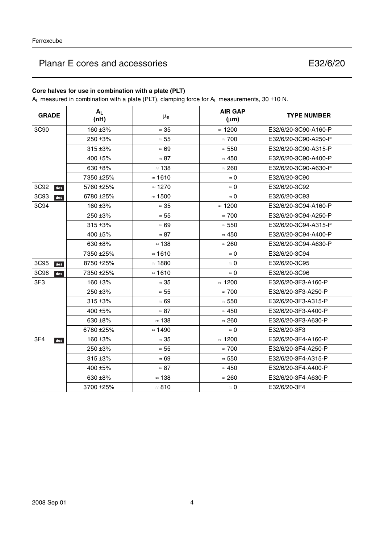## **Core halves for use in combination with a plate (PLT)**

 $A_L$  measured in combination with a plate (PLT), clamping force for  $A_L$  measurements, 30 ±10 N.

| <b>GRADE</b> | $A_L$<br>(nH) | μe             | <b>AIR GAP</b><br>$(\mu m)$ | <b>TYPE NUMBER</b>   |
|--------------|---------------|----------------|-----------------------------|----------------------|
| 3C90         | $160 + 3%$    | $\approx 35$   | $\approx$ 1200              | E32/6/20-3C90-A160-P |
|              | 250 ±3%       | $\approx 55$   | $\approx 700$               | E32/6/20-3C90-A250-P |
|              | $315 + 3%$    | $\approx 69$   | $\approx 550$               | E32/6/20-3C90-A315-P |
|              | 400 ±5%       | $\approx 87$   | $\approx 450$               | E32/6/20-3C90-A400-P |
|              | 630 $\pm$ 8%  | $\approx$ 138  | $\approx 260$               | E32/6/20-3C90-A630-P |
|              | 7350 ± 25%    | $\approx$ 1610 | $\approx 0$                 | E32/6/20-3C90        |
| 3C92<br>des  | 5760 ± 25%    | $\approx$ 1270 | $\approx 0$                 | E32/6/20-3C92        |
| 3C93<br>des  | 6780 ± 25%    | $\approx 1500$ | $\approx 0$                 | E32/6/20-3C93        |
| 3C94         | 160 ±3%       | $\approx 35$   | $\approx$ 1200              | E32/6/20-3C94-A160-P |
|              | 250 ±3%       | $\approx 55$   | $\approx 700$               | E32/6/20-3C94-A250-P |
|              | $315 + 3%$    | $\approx 69$   | $\approx 550$               | E32/6/20-3C94-A315-P |
|              | 400 ±5%       | $\approx 87$   | $\approx 450$               | E32/6/20-3C94-A400-P |
|              | 630 $\pm$ 8%  | $\approx$ 138  | $\approx 260$               | E32/6/20-3C94-A630-P |
|              | 7350 ± 25%    | $\approx 1610$ | $\approx 0$                 | E32/6/20-3C94        |
| 3C95<br>des  | $8750 + 25%$  | $\approx$ 1880 | $\approx 0$                 | E32/6/20-3C95        |
| 3C96<br>des  | 7350 ± 25%    | $\approx$ 1610 | $\approx$ 0                 | E32/6/20-3C96        |
| 3F3          | $160 + 3%$    | $\approx 35$   | $\approx$ 1200              | E32/6/20-3F3-A160-P  |
|              | $250 + 3%$    | $\approx 55$   | $\approx 700$               | E32/6/20-3F3-A250-P  |
|              | $315 + 3%$    | $\approx 69$   | $\approx 550$               | E32/6/20-3F3-A315-P  |
|              | 400 ±5%       | $\approx 87$   | $\approx 450$               | E32/6/20-3F3-A400-P  |
|              | 630 $\pm$ 8%  | $\approx$ 138  | $\approx 260$               | E32/6/20-3F3-A630-P  |
|              | 6780 ± 25%    | $\approx 1490$ | $\approx 0$                 | E32/6/20-3F3         |
| 3F4<br>des   | 160 $\pm$ 3%  | $\approx 35$   | $\approx$ 1200              | E32/6/20-3F4-A160-P  |
|              | 250 ±3%       | $\approx 55$   | $\approx 700$               | E32/6/20-3F4-A250-P  |
|              | $315 + 3%$    | $\approx 69$   | $\approx 550$               | E32/6/20-3F4-A315-P  |
|              | 400 ±5%       | $\approx 87$   | $\approx 450$               | E32/6/20-3F4-A400-P  |
|              | 630 $\pm$ 8%  | $\approx 138$  | $\approx 260$               | E32/6/20-3F4-A630-P  |
|              | 3700 ± 25%    | $\approx 810$  | $\approx 0$                 | E32/6/20-3F4         |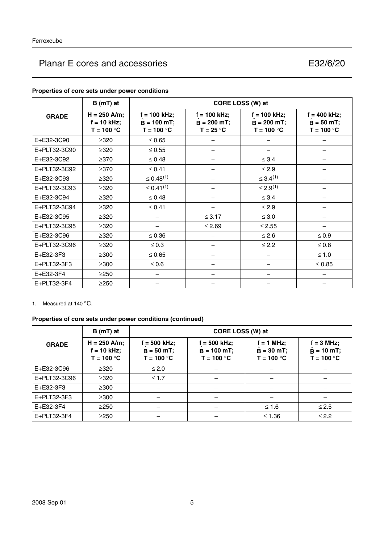|              | $B(mT)$ at                                      |                                                 |                                                | CORE LOSS (W) at                                |                                                |
|--------------|-------------------------------------------------|-------------------------------------------------|------------------------------------------------|-------------------------------------------------|------------------------------------------------|
| <b>GRADE</b> | $H = 250$ A/m;<br>$f = 10$ kHz;<br>$T = 100 °C$ | $f = 100$ kHz;<br>$B = 100$ mT;<br>$T = 100 °C$ | $f = 100$ kHz;<br>$B = 200 mT;$<br>$T = 25 °C$ | $f = 100$ kHz;<br>$B = 200 mT;$<br>$T = 100 °C$ | $f = 400$ kHz;<br>$B = 50 mT;$<br>$T = 100 °C$ |
| E+E32-3C90   | $\geq$ 320                                      | $\leq 0.65$                                     |                                                |                                                 |                                                |
| E+PLT32-3C90 | $\geq$ 320                                      | $\leq 0.55$                                     |                                                |                                                 |                                                |
| E+E32-3C92   | $\geq$ 370                                      | $\leq 0.48$                                     | —                                              | $\leq$ 3.4                                      |                                                |
| E+PLT32-3C92 | $\geq$ 370                                      | $\leq 0.41$                                     | —                                              | $\leq$ 2.9                                      |                                                |
| E+E32-3C93   | $\geq$ 320                                      | $\leq 0.48^{(1)}$                               |                                                | $\leq 3.4^{(1)}$                                |                                                |
| E+PLT32-3C93 | $\geq$ 320                                      | $\leq 0.41^{(1)}$                               |                                                | $\leq 2.9^{(1)}$                                |                                                |
| E+E32-3C94   | $\geq$ 320                                      | $\leq 0.48$                                     |                                                | $\leq$ 3.4                                      |                                                |
| E+PLT32-3C94 | $\geq$ 320                                      | $\leq 0.41$                                     |                                                | $\leq 2.9$                                      |                                                |
| E+E32-3C95   | $\geq 320$                                      |                                                 | $\leq$ 3.17                                    | $\leq 3.0$                                      |                                                |
| E+PLT32-3C95 | $\geq$ 320                                      | —                                               | $\leq 2.69$                                    | $\leq$ 2.55                                     |                                                |
| E+E32-3C96   | $\geq$ 320                                      | $\leq 0.36$                                     | —                                              | $≤ 2.6$                                         | $\leq 0.9$                                     |
| E+PLT32-3C96 | $\geq$ 320                                      | $\leq 0.3$                                      |                                                | $\leq$ 2.2                                      | $\leq 0.8$                                     |
| E+E32-3F3    | $\geq$ 300                                      | $\leq 0.65$                                     |                                                |                                                 | $\leq 1.0$                                     |
| E+PLT32-3F3  | $\geq$ 300                                      | $\leq 0.6$                                      |                                                |                                                 | $\leq 0.85$                                    |
| E+E32-3F4    | $\geq$ 250                                      |                                                 |                                                |                                                 |                                                |
| E+PLT32-3F4  | $\geq$ 250                                      |                                                 |                                                |                                                 |                                                |

### **Properties of core sets under power conditions**

1. Measured at 140 °C.

## **Properties of core sets under power conditions (continued)**

|              | $B(mT)$ at                                      |                                                | CORE LOSS (W) at                                |                                              |                                                     |
|--------------|-------------------------------------------------|------------------------------------------------|-------------------------------------------------|----------------------------------------------|-----------------------------------------------------|
| <b>GRADE</b> | $H = 250$ A/m;<br>$f = 10$ kHz;<br>$T = 100 °C$ | $f = 500$ kHz;<br>$B = 50 mT;$<br>$T = 100 °C$ | $f = 500$ kHz;<br>$B = 100 mT;$<br>$T = 100 °C$ | $f = 1$ MHz;<br>$B = 30$ mT;<br>$T = 100 °C$ | $f = 3$ MHz;<br>$\ddot{B}$ = 10 mT;<br>$T = 100 °C$ |
| E+E32-3C96   | $\geq$ 320                                      | $\leq 2.0$                                     |                                                 |                                              |                                                     |
| E+PLT32-3C96 | $\geq$ 320                                      | $\leq 1.7$                                     |                                                 |                                              |                                                     |
| E+E32-3F3    | $\geq 300$                                      |                                                |                                                 |                                              |                                                     |
| E+PLT32-3F3  | $\geq$ 300                                      |                                                |                                                 |                                              |                                                     |
| E+E32-3F4    | $\geq$ 250                                      |                                                |                                                 | $≤ 1.6$                                      | $\leq$ 2.5                                          |
| E+PLT32-3F4  | $\geq$ 250                                      |                                                |                                                 | $≤ 1.36$                                     | $\leq$ 2.2                                          |